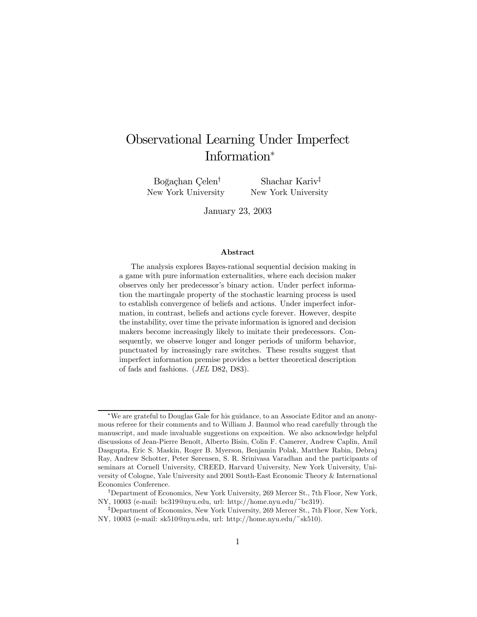# Observational Learning Under Imperfect Information<sup>∗</sup>

Boğaçhan Çelen<sup>†</sup> New York University

Shachar Kariv‡ New York University

January 23, 2003

#### Abstract

The analysis explores Bayes-rational sequential decision making in a game with pure information externalities, where each decision maker observes only her predecessor's binary action. Under perfect information the martingale property of the stochastic learning process is used to establish convergence of beliefs and actions. Under imperfect information, in contrast, beliefs and actions cycle forever. However, despite the instability, over time the private information is ignored and decision makers become increasingly likely to imitate their predecessors. Consequently, we observe longer and longer periods of uniform behavior, punctuated by increasingly rare switches. These results suggest that imperfect information premise provides a better theoretical description of fads and fashions. (JEL D82, D83).

<sup>∗</sup>We are grateful to Douglas Gale for his guidance, to an Associate Editor and an anonymous referee for their comments and to William J. Baumol who read carefully through the manuscript, and made invaluable suggestions on exposition. We also acknowledge helpful discussions of Jean-Pierre Benoît, Alberto Bisin, Colin F. Camerer, Andrew Caplin, Amil Dasgupta, Eric S. Maskin, Roger B. Myerson, Benjamin Polak, Matthew Rabin, Debraj Ray, Andrew Schotter, Peter Sørensen, S. R. Srinivasa Varadhan and the participants of seminars at Cornell University, CREED, Harvard University, New York University, University of Cologne, Yale University and 2001 South-East Economic Theory & International Economics Conference.

<sup>†</sup>Department of Economics, New York University, 269 Mercer St., 7th Floor, New York, NY, 10003 (e-mail: bc319@nyu.edu, url: http://home.nyu.edu/~bc319).

<sup>‡</sup>Department of Economics, New York University, 269 Mercer St., 7th Floor, New York, NY, 10003 (e-mail: sk510@nyu.edu, url: http://home.nyu.edu/~sk510).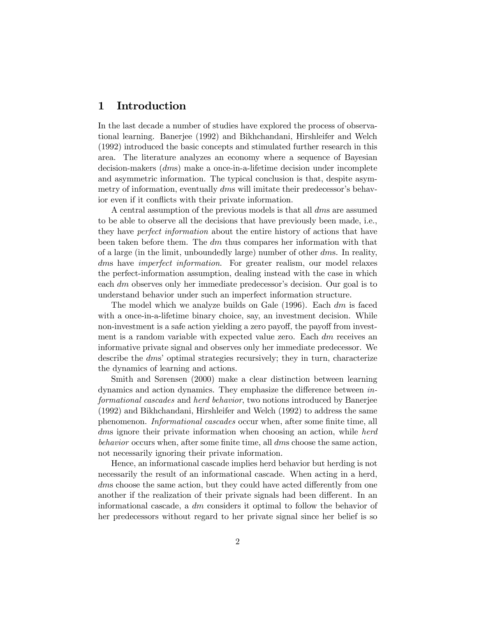# 1 Introduction

In the last decade a number of studies have explored the process of observational learning. Banerjee (1992) and Bikhchandani, Hirshleifer and Welch (1992) introduced the basic concepts and stimulated further research in this area. The literature analyzes an economy where a sequence of Bayesian decision-makers (dms) make a once-in-a-lifetime decision under incomplete and asymmetric information. The typical conclusion is that, despite asymmetry of information, eventually dms will imitate their predecessor's behavior even if it conflicts with their private information.

A central assumption of the previous models is that all dms are assumed to be able to observe all the decisions that have previously been made, i.e., they have *perfect information* about the entire history of actions that have been taken before them. The  $dm$  thus compares her information with that of a large (in the limit, unboundedly large) number of other dms. In reality, dms have *imperfect information*. For greater realism, our model relaxes the perfect-information assumption, dealing instead with the case in which each  $dm$  observes only her immediate predecessor's decision. Our goal is to understand behavior under such an imperfect information structure.

The model which we analyze builds on Gale  $(1996)$ . Each dm is faced with a once-in-a-lifetime binary choice, say, an investment decision. While non-investment is a safe action yielding a zero payoff, the payoff from investment is a random variable with expected value zero. Each  $dm$  receives an informative private signal and observes only her immediate predecessor. We describe the dms' optimal strategies recursively; they in turn, characterize the dynamics of learning and actions.

Smith and Sørensen (2000) make a clear distinction between learning dynamics and action dynamics. They emphasize the difference between informational cascades and herd behavior, two notions introduced by Banerjee (1992) and Bikhchandani, Hirshleifer and Welch (1992) to address the same phenomenon. Informational cascades occur when, after some finite time, all dms ignore their private information when choosing an action, while herd behavior occurs when, after some finite time, all dms choose the same action, not necessarily ignoring their private information.

Hence, an informational cascade implies herd behavior but herding is not necessarily the result of an informational cascade. When acting in a herd, dms choose the same action, but they could have acted differently from one another if the realization of their private signals had been different. In an informational cascade, a dm considers it optimal to follow the behavior of her predecessors without regard to her private signal since her belief is so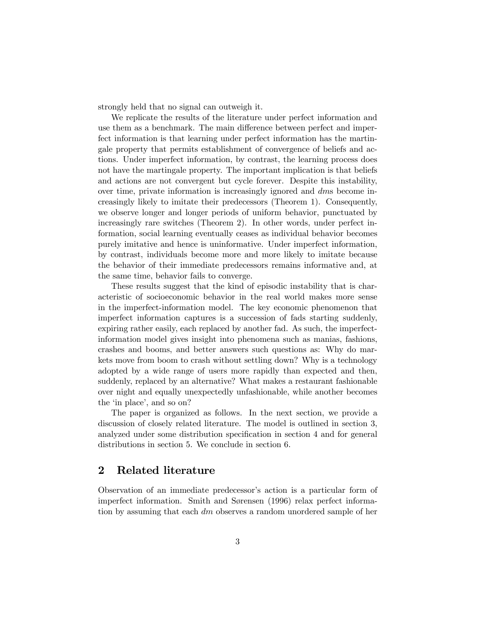strongly held that no signal can outweigh it.

We replicate the results of the literature under perfect information and use them as a benchmark. The main difference between perfect and imperfect information is that learning under perfect information has the martingale property that permits establishment of convergence of beliefs and actions. Under imperfect information, by contrast, the learning process does not have the martingale property. The important implication is that beliefs and actions are not convergent but cycle forever. Despite this instability, over time, private information is increasingly ignored and dms become increasingly likely to imitate their predecessors (Theorem 1). Consequently, we observe longer and longer periods of uniform behavior, punctuated by increasingly rare switches (Theorem 2). In other words, under perfect information, social learning eventually ceases as individual behavior becomes purely imitative and hence is uninformative. Under imperfect information, by contrast, individuals become more and more likely to imitate because the behavior of their immediate predecessors remains informative and, at the same time, behavior fails to converge.

These results suggest that the kind of episodic instability that is characteristic of socioeconomic behavior in the real world makes more sense in the imperfect-information model. The key economic phenomenon that imperfect information captures is a succession of fads starting suddenly, expiring rather easily, each replaced by another fad. As such, the imperfectinformation model gives insight into phenomena such as manias, fashions, crashes and booms, and better answers such questions as: Why do markets move from boom to crash without settling down? Why is a technology adopted by a wide range of users more rapidly than expected and then, suddenly, replaced by an alternative? What makes a restaurant fashionable over night and equally unexpectedly unfashionable, while another becomes the 'in place', and so on?

The paper is organized as follows. In the next section, we provide a discussion of closely related literature. The model is outlined in section 3, analyzed under some distribution specification in section 4 and for general distributions in section 5. We conclude in section 6.

## 2 Related literature

Observation of an immediate predecessor's action is a particular form of imperfect information. Smith and Sørensen (1996) relax perfect information by assuming that each dm observes a random unordered sample of her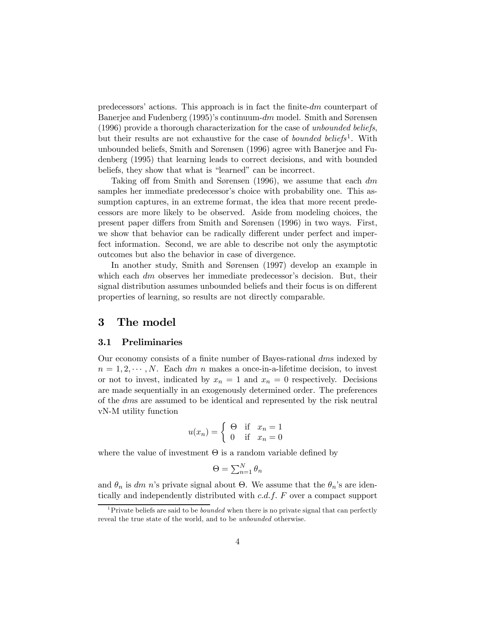predecessors' actions. This approach is in fact the finite-dm counterpart of Banerjee and Fudenberg (1995)'s continuum-dm model. Smith and Sørensen (1996) provide a thorough characterization for the case of unbounded beliefs, but their results are not exhaustive for the case of *bounded beliefs*<sup>1</sup>. With unbounded beliefs, Smith and Sørensen (1996) agree with Banerjee and Fudenberg (1995) that learning leads to correct decisions, and with bounded beliefs, they show that what is "learned" can be incorrect.

Taking off from Smith and Sørensen (1996), we assume that each  $dm$ samples her immediate predecessor's choice with probability one. This assumption captures, in an extreme format, the idea that more recent predecessors are more likely to be observed. Aside from modeling choices, the present paper differs from Smith and Sørensen (1996) in two ways. First, we show that behavior can be radically different under perfect and imperfect information. Second, we are able to describe not only the asymptotic outcomes but also the behavior in case of divergence.

In another study, Smith and Sørensen (1997) develop an example in which each  $dm$  observes her immediate predecessor's decision. But, their signal distribution assumes unbounded beliefs and their focus is on different properties of learning, so results are not directly comparable.

## 3 The model

#### 3.1 Preliminaries

Our economy consists of a finite number of Bayes-rational dms indexed by  $n = 1, 2, \dots, N$ . Each dm n makes a once-in-a-lifetime decision, to invest or not to invest, indicated by  $x_n = 1$  and  $x_n = 0$  respectively. Decisions are made sequentially in an exogenously determined order. The preferences of the dms are assumed to be identical and represented by the risk neutral vN-M utility function

$$
u(x_n) = \begin{cases} \Theta & \text{if } x_n = 1\\ 0 & \text{if } x_n = 0 \end{cases}
$$

where the value of investment  $\Theta$  is a random variable defined by

$$
\Theta = \sum_{n=1}^{N} \theta_n
$$

and  $\theta_n$  is dm n's private signal about  $\Theta$ . We assume that the  $\theta_n$ 's are identically and independently distributed with c.d.f. F over a compact support

<sup>&</sup>lt;sup>1</sup>Private beliefs are said to be *bounded* when there is no private signal that can perfectly reveal the true state of the world, and to be unbounded otherwise.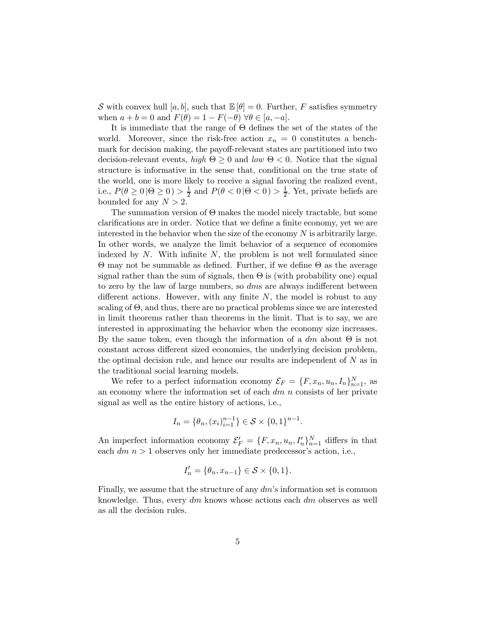S with convex hull [a, b], such that  $\mathbb{E}[\theta]=0$ . Further, F satisfies symmetry when  $a + b = 0$  and  $F(\theta) = 1 - F(-\theta) \,\forall \theta \in [a, -a]$ .

It is immediate that the range of Θ defines the set of the states of the world. Moreover, since the risk-free action  $x_n = 0$  constitutes a benchmark for decision making, the payoff-relevant states are partitioned into two decision-relevant events, high  $\Theta \geq 0$  and low  $\Theta \leq 0$ . Notice that the signal structure is informative in the sense that, conditional on the true state of the world, one is more likely to receive a signal favoring the realized event, i.e.,  $P(\theta \ge 0 | \Theta \ge 0) > \frac{1}{2}$  and  $P(\theta < 0 | \Theta < 0) > \frac{1}{2}$ . Yet, private beliefs are bounded for any  $N > 2$ .

The summation version of  $\Theta$  makes the model nicely tractable, but some clarifications are in order. Notice that we define a finite economy, yet we are interested in the behavior when the size of the economy  $N$  is arbitrarily large. In other words, we analyze the limit behavior of a sequence of economies indexed by  $N$ . With infinite  $N$ , the problem is not well formulated since Θ may not be summable as defined. Further, if we define Θ as the average signal rather than the sum of signals, then  $\Theta$  is (with probability one) equal to zero by the law of large numbers, so *dms* are always indifferent between different actions. However, with any finite  $N$ , the model is robust to any scaling of  $\Theta$ , and thus, there are no practical problems since we are interested in limit theorems rather than theorems in the limit. That is to say, we are interested in approximating the behavior when the economy size increases. By the same token, even though the information of a  $dm$  about  $\Theta$  is not constant across different sized economies, the underlying decision problem, the optimal decision rule, and hence our results are independent of  $N$  as in the traditional social learning models.

We refer to a perfect information economy  $\mathcal{E}_F = \{F, x_n, u_n, I_n\}_{n=1}^N$ , as an economy where the information set of each  $dm$  n consists of her private signal as well as the entire history of actions, i.e.,

$$
I_n = \{ \theta_n, (x_i)_{i=1}^{n-1} \} \in \mathcal{S} \times \{0, 1\}^{n-1}.
$$

An imperfect information economy  $\mathcal{E}'_F = \{F, x_n, u_n, I'_n\}_{n=1}^N$  differs in that each  $dm$   $n > 1$  observes only her immediate predecessor's action, i.e.,

$$
I'_n = \{\theta_n, x_{n-1}\} \in \mathcal{S} \times \{0, 1\}.
$$

Finally, we assume that the structure of any dm's information set is common knowledge. Thus, every  $dm$  knows whose actions each  $dm$  observes as well as all the decision rules.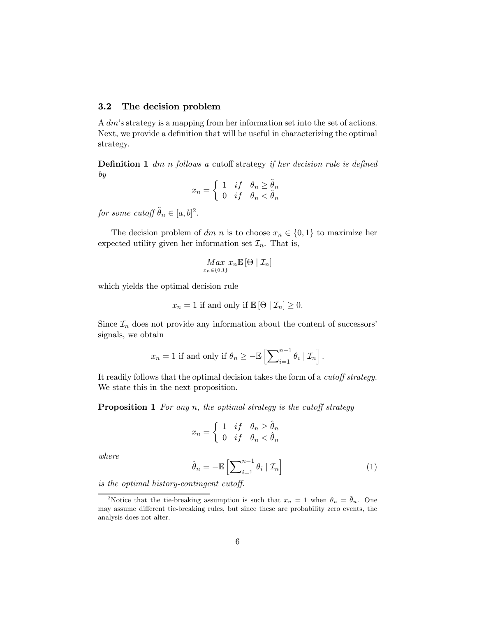## 3.2 The decision problem

A dm's strategy is a mapping from her information set into the set of actions. Next, we provide a definition that will be useful in characterizing the optimal strategy.

**Definition 1** dm n follows a cutoff strategy if her decision rule is defined by

$$
x_n = \begin{cases} 1 & \text{if } \theta_n \ge \tilde{\theta}_n \\ 0 & \text{if } \theta_n < \tilde{\theta}_n \end{cases}
$$

for some cutoff  $\tilde{\theta}_n \in [a, b]^2$ .

The decision problem of dm n is to choose  $x_n \in \{0,1\}$  to maximize her expected utility given her information set  $\mathcal{I}_n$ . That is,

$$
\underset{x_n \in \{0,1\}}{Max} x_n \mathbb{E} \left[ \Theta \mid \mathcal{I}_n \right]
$$

which yields the optimal decision rule

$$
x_n = 1
$$
 if and only if  $\mathbb{E}[\Theta | \mathcal{I}_n] \geq 0$ .

Since  $\mathcal{I}_n$  does not provide any information about the content of successors' signals, we obtain

$$
x_n = 1
$$
 if and only if  $\theta_n \geq -\mathbb{E}\left[\sum_{i=1}^{n-1} \theta_i \mid \mathcal{I}_n\right]$ .

It readily follows that the optimal decision takes the form of a cutoff strategy. We state this in the next proposition.

**Proposition 1** For any n, the optimal strategy is the cutoff strategy

$$
x_n = \begin{cases} 1 & \text{if} \quad \theta_n \ge \hat{\theta}_n \\ 0 & \text{if} \quad \theta_n < \hat{\theta}_n \end{cases}
$$

where 
$$
\hat{\theta}_n = -\mathbb{E}\left[\sum_{i=1}^{n-1} \theta_i \mid \mathcal{I}_n\right]
$$
 (1)

is the optimal history-contingent cutoff.

<sup>&</sup>lt;sup>2</sup>Notice that the tie-breaking assumption is such that  $x_n = 1$  when  $\theta_n = \tilde{\theta}_n$ . One may assume different tie-breaking rules, but since these are probability zero events, the analysis does not alter.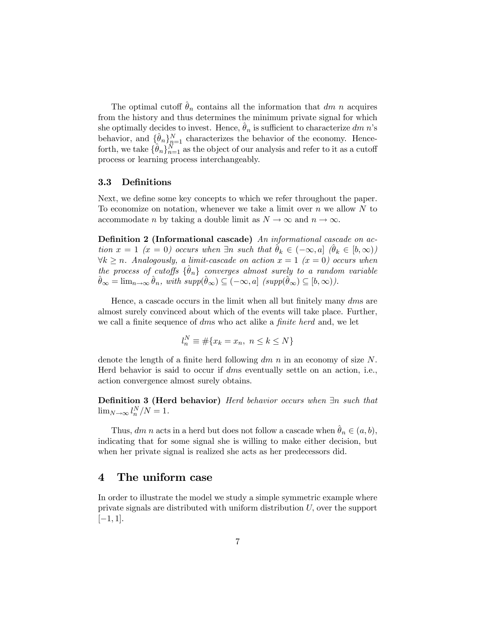The optimal cutoff  $\hat{\theta}_n$  contains all the information that dm n acquires from the history and thus determines the minimum private signal for which she optimally decides to invest. Hence,  $\theta_n$  is sufficient to characterize dm n's behavior, and  $\{\hat{\theta}_n\}_{n=1}^N$  characterizes the behavior of the economy. Henceforth, we take  $\{\hat{\theta}_n\}_{n=1}^N$  as the object of our analysis and refer to it as a cutoff process or learning process interchangeably.

#### 3.3 Definitions

Next, we define some key concepts to which we refer throughout the paper. To economize on notation, whenever we take a limit over  $n$  we allow  $N$  to accommodate *n* by taking a double limit as  $N \to \infty$  and  $n \to \infty$ .

Definition 2 (Informational cascade) An informational cascade on action  $x = 1$  ( $x = 0$ ) occurs when  $\exists n$  such that  $\hat{\theta}_k \in (-\infty, a]$  ( $\hat{\theta}_k \in [b, \infty)$ )  $\forall k \geq n$ . Analogously, a limit-cascade on action  $x = 1$  ( $x = 0$ ) occurs when the process of cutoffs  $\{\hat{\theta}_n\}$  converges almost surely to a random variable  $\hat{\theta}_{\infty} = \lim_{n \to \infty} \hat{\theta}_n$ , with  $supp(\hat{\theta}_{\infty}) \subseteq (-\infty, a]$   $(supp(\hat{\theta}_{\infty}) \subseteq [b, \infty))$ .

Hence, a cascade occurs in the limit when all but finitely many dms are almost surely convinced about which of the events will take place. Further, we call a finite sequence of dms who act alike a *finite herd* and, we let

$$
l_n^N \equiv \#\{x_k = x_n, \ n \le k \le N\}
$$

denote the length of a finite herd following  $dm$  n in an economy of size N. Herd behavior is said to occur if dms eventually settle on an action, i.e., action convergence almost surely obtains.

Definition 3 (Herd behavior) Herd behavior occurs when ∃n such that  $\lim_{N\to\infty} l_n^N/N=1.$ 

Thus, dm n acts in a herd but does not follow a cascade when  $\hat{\theta}_n \in (a, b)$ , indicating that for some signal she is willing to make either decision, but when her private signal is realized she acts as her predecessors did.

## 4 The uniform case

In order to illustrate the model we study a simple symmetric example where private signals are distributed with uniform distribution U, over the support  $[-1, 1].$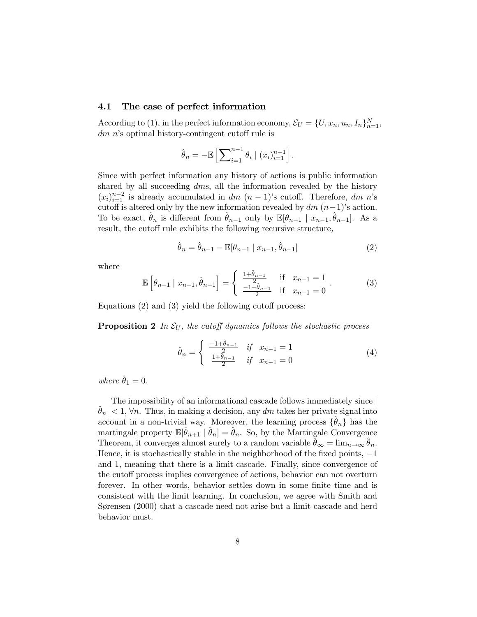#### 4.1 The case of perfect information

According to (1), in the perfect information economy,  $\mathcal{E}_U = \{U, x_n, u_n, I_n\}_{n=1}^N$ , dm n's optimal history-contingent cutoff rule is

$$
\hat{\theta}_n = -\mathbb{E}\left[\sum_{i=1}^{n-1} \theta_i \mid (x_i)_{i=1}^{n-1}\right].
$$

Since with perfect information any history of actions is public information shared by all succeeding dms, all the information revealed by the history  $(x_i)_{i=1}^{n-2}$  is already accumulated in dm  $(n-1)$ 's cutoff. Therefore, dm n's cutoff is altered only by the new information revealed by  $dm$   $(n-1)$ 's action. To be exact,  $\theta_n$  is different from  $\theta_{n-1}$  only by  $\mathbb{E}[\theta_{n-1} | x_{n-1}, \theta_{n-1}]$ . As a result, the cutoff rule exhibits the following recursive structure,

$$
\hat{\theta}_n = \hat{\theta}_{n-1} - \mathbb{E}[\theta_{n-1} | x_{n-1}, \hat{\theta}_{n-1}]
$$
\n(2)

where

$$
\mathbb{E}\left[\theta_{n-1} \mid x_{n-1}, \hat{\theta}_{n-1}\right] = \begin{cases} \frac{1+\hat{\theta}_{n-1}}{2} & \text{if } x_{n-1} = 1\\ \frac{-1+\hat{\theta}_{n-1}}{2} & \text{if } x_{n-1} = 0 \end{cases} (3)
$$

Equations (2) and (3) yield the following cutoff process:

**Proposition 2** In  $\mathcal{E}_U$ , the cutoff dynamics follows the stochastic process

$$
\hat{\theta}_n = \begin{cases} \frac{-1 + \hat{\theta}_{n-1}}{2} & \text{if } x_{n-1} = 1\\ \frac{1 + \hat{\theta}_{n-1}}{2} & \text{if } x_{n-1} = 0 \end{cases}
$$
(4)

where  $\hat{\theta}_1 = 0$ .

The impossibility of an informational cascade follows immediately since  $|\hat{\theta}_n| < 1$ ,  $\forall n$ . Thus, in making a decision, any dm takes her private signal into account in a non-trivial way. Moreover, the learning process  $\{\theta_n\}$  has the martingale property  $\mathbb{E}[\hat{\theta}_{n+1} | \hat{\theta}_n] = \hat{\theta}_n$ . So, by the Martingale Convergence Theorem, it converges almost surely to a random variable  $\theta_{\infty} = \lim_{n \to \infty} \theta_n$ . Hence, it is stochastically stable in the neighborhood of the fixed points, −1 and 1, meaning that there is a limit-cascade. Finally, since convergence of the cutoff process implies convergence of actions, behavior can not overturn forever. In other words, behavior settles down in some finite time and is consistent with the limit learning. In conclusion, we agree with Smith and Sørensen (2000) that a cascade need not arise but a limit-cascade and herd behavior must.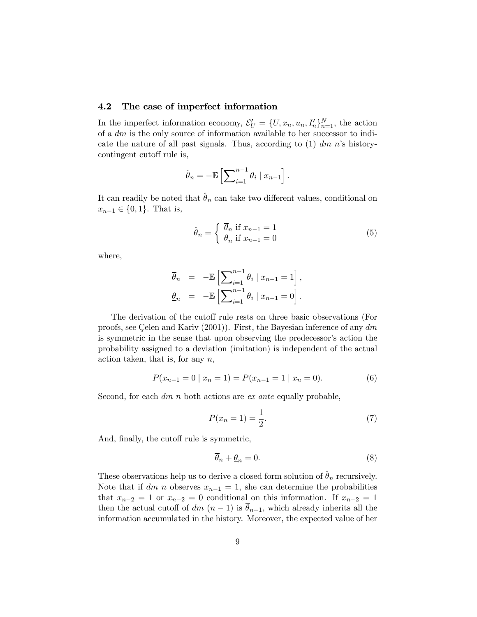## 4.2 The case of imperfect information

In the imperfect information economy,  $\mathcal{E}'_U = \{U, x_n, u_n, I'_n\}_{n=1}^N$ , the action of a dm is the only source of information available to her successor to indicate the nature of all past signals. Thus, according to  $(1)$  dm n's historycontingent cutoff rule is,

$$
\hat{\theta}_n = -\mathbb{E}\left[\sum_{i=1}^{n-1} \theta_i \mid x_{n-1}\right].
$$

It can readily be noted that  $\hat{\theta}_n$  can take two different values, conditional on  $x_{n-1} \in \{0, 1\}$ . That is,

$$
\hat{\theta}_n = \begin{cases} \overline{\theta}_n & \text{if } x_{n-1} = 1 \\ \underline{\theta}_n & \text{if } x_{n-1} = 0 \end{cases}
$$
 (5)

where,

$$
\overline{\theta}_n = -\mathbb{E}\left[\sum_{i=1}^{n-1} \theta_i \mid x_{n-1} = 1\right],
$$
  

$$
\underline{\theta}_n = -\mathbb{E}\left[\sum_{i=1}^{n-1} \theta_i \mid x_{n-1} = 0\right].
$$

The derivation of the cutoff rule rests on three basic observations (For proofs, see Çelen and Kariv (2001)). First, the Bayesian inference of any dm is symmetric in the sense that upon observing the predecessor's action the probability assigned to a deviation (imitation) is independent of the actual action taken, that is, for any  $n$ ,

$$
P(x_{n-1} = 0 \mid x_n = 1) = P(x_{n-1} = 1 \mid x_n = 0). \tag{6}
$$

Second, for each  $dm$  n both actions are *ex ante* equally probable,

$$
P(x_n = 1) = \frac{1}{2}.\tag{7}
$$

And, finally, the cutoff rule is symmetric,

$$
\overline{\theta}_n + \underline{\theta}_n = 0. \tag{8}
$$

These observations help us to derive a closed form solution of  $\hat{\theta}_n$  recursively. Note that if dm n observes  $x_{n-1} = 1$ , she can determine the probabilities that  $x_{n-2} = 1$  or  $x_{n-2} = 0$  conditional on this information. If  $x_{n-2} = 1$ then the actual cutoff of dm  $(n-1)$  is  $\bar{\theta}_{n-1}$ , which already inherits all the information accumulated in the history. Moreover, the expected value of her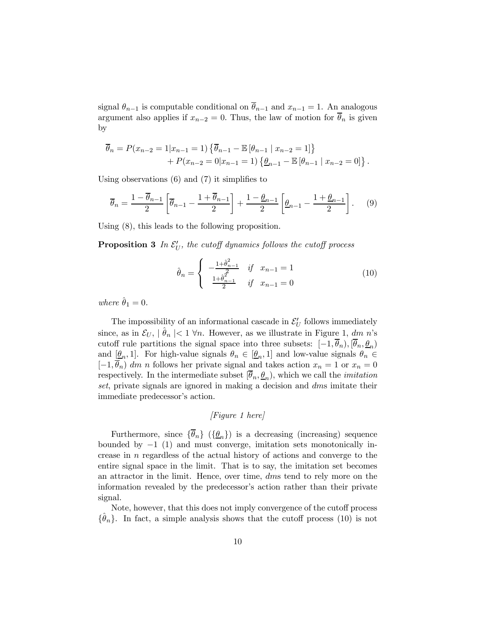signal  $\theta_{n-1}$  is computable conditional on  $\overline{\theta}_{n-1}$  and  $x_{n-1} = 1$ . An analogous argument also applies if  $x_{n-2} = 0$ . Thus, the law of motion for  $\theta_n$  is given by

$$
\overline{\theta}_n = P(x_{n-2} = 1 | x_{n-1} = 1) \{ \overline{\theta}_{n-1} - \mathbb{E} [\theta_{n-1} | x_{n-2} = 1] \} + P(x_{n-2} = 0 | x_{n-1} = 1) \{ \underline{\theta}_{n-1} - \mathbb{E} [\theta_{n-1} | x_{n-2} = 0] \}.
$$

Using observations (6) and (7) it simplifies to

$$
\overline{\theta}_n = \frac{1 - \overline{\theta}_{n-1}}{2} \left[ \overline{\theta}_{n-1} - \frac{1 + \overline{\theta}_{n-1}}{2} \right] + \frac{1 - \underline{\theta}_{n-1}}{2} \left[ \underline{\theta}_{n-1} - \frac{1 + \underline{\theta}_{n-1}}{2} \right]. \tag{9}
$$

Using (8), this leads to the following proposition.

**Proposition 3** In  $\mathcal{E}'_U$ , the cutoff dynamics follows the cutoff process

$$
\hat{\theta}_n = \begin{cases}\n-\frac{1+\hat{\theta}_{n-1}^2}{2} & \text{if } x_{n-1} = 1 \\
\frac{1+\hat{\theta}_{n-1}^2}{2} & \text{if } x_{n-1} = 0\n\end{cases}
$$
\n(10)

where  $\hat{\theta}_1 = 0$ .

The impossibility of an informational cascade in  $\mathcal{E}'_U$  follows immediately since, as in  $\mathcal{E}_U$ ,  $|\theta_n| < 1 \forall n$ . However, as we illustrate in Figure 1, dm n's cutoff rule partitions the signal space into three subsets:  $[-1, \overline{\theta}_n), [\overline{\theta}_n, \underline{\theta}_n)$ and  $[\underline{\theta}_n, 1]$ . For high-value signals  $\theta_n \in [\underline{\theta}_n, 1]$  and low-value signals  $\theta_n \in$  $[-1, \overline{\theta}_n]$  dm n follows her private signal and takes action  $x_n = 1$  or  $x_n = 0$ respectively. In the intermediate subset  $[\overline{\theta}_n, \underline{\theta}_n)$ , which we call the *imitation* set, private signals are ignored in making a decision and dms imitate their immediate predecessor's action.

[Figure 1 here]

Furthermore, since  $\{\overline{\theta}_n\}$  ( $\{\underline{\theta}_n\}$ ) is a decreasing (increasing) sequence bounded by  $-1$  (1) and must converge, imitation sets monotonically increase in n regardless of the actual history of actions and converge to the entire signal space in the limit. That is to say, the imitation set becomes an attractor in the limit. Hence, over time, dms tend to rely more on the information revealed by the predecessor's action rather than their private signal.

Note, however, that this does not imply convergence of the cutoff process  ${\hat{\theta}_n}$ . In fact, a simple analysis shows that the cutoff process (10) is not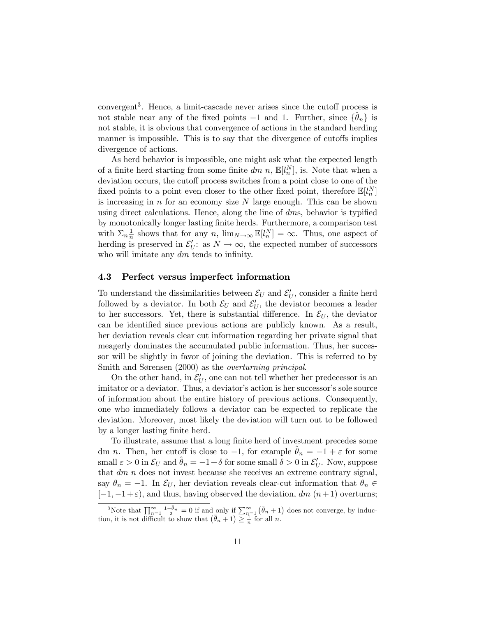convergent3. Hence, a limit-cascade never arises since the cutoff process is not stable near any of the fixed points  $-1$  and 1. Further, since  $\{\theta_n\}$  is not stable, it is obvious that convergence of actions in the standard herding manner is impossible. This is to say that the divergence of cutoffs implies divergence of actions.

As herd behavior is impossible, one might ask what the expected length of a finite herd starting from some finite  $dm$  n,  $\mathbb{E}[l_n^N]$ , is. Note that when a deviation occurs, the cutoff process switches from a point close to one of the fixed points to a point even closer to the other fixed point, therefore  $\mathbb{E}[l_n^N]$ is increasing in  $n$  for an economy size  $N$  large enough. This can be shown using direct calculations. Hence, along the line of  $dms$ , behavior is typified by monotonically longer lasting finite herds. Furthermore, a comparison test with  $\Sigma_n \frac{1}{n}$  shows that for any n,  $\lim_{N \to \infty} \mathbb{E}[l_n^N] = \infty$ . Thus, one aspect of herding is preserved in  $\mathcal{E}'_U$ : as  $N \to \infty$ , the expected number of successors who will imitate any dm tends to infinity.

#### 4.3 Perfect versus imperfect information

To understand the dissimilarities between  $\mathcal{E}_U$  and  $\mathcal{E}'_U$ , consider a finite herd followed by a deviator. In both  $\mathcal{E}_U$  and  $\mathcal{E}'_U$ , the deviator becomes a leader to her successors. Yet, there is substantial difference. In  $\mathcal{E}_U$ , the deviator can be identified since previous actions are publicly known. As a result, her deviation reveals clear cut information regarding her private signal that meagerly dominates the accumulated public information. Thus, her successor will be slightly in favor of joining the deviation. This is referred to by Smith and Sørensen (2000) as the *overturning principal*.

On the other hand, in  $\mathcal{E}'_U$ , one can not tell whether her predecessor is an imitator or a deviator. Thus, a deviator's action is her successor's sole source of information about the entire history of previous actions. Consequently, one who immediately follows a deviator can be expected to replicate the deviation. Moreover, most likely the deviation will turn out to be followed by a longer lasting finite herd.

To illustrate, assume that a long finite herd of investment precedes some dm n. Then, her cutoff is close to  $-1$ , for example  $\hat{\theta}_n = -1 + \varepsilon$  for some small  $\varepsilon > 0$  in  $\mathcal{E}_U$  and  $\hat{\theta}_n = -1 + \delta$  for some small  $\delta > 0$  in  $\mathcal{E}'_U$ . Now, suppose that  $dm$  n does not invest because she receives an extreme contrary signal, say  $\theta_n = -1$ . In  $\mathcal{E}_U$ , her deviation reveals clear-cut information that  $\theta_n \in$  $[-1, -1+\varepsilon]$ , and thus, having observed the deviation, dm  $(n+1)$  overturns;

<sup>&</sup>lt;sup>3</sup>Note that  $\prod_{n=1}^{\infty} \frac{1-\bar{\theta}_n}{2} = 0$  if and only if  $\sum_{n=1}^{\infty} (\bar{\theta}_n + 1)$  does not converge, by induction, it is not difficult to show that  $(\bar{\theta}_n + 1) \geq \frac{1}{n}$  for all n.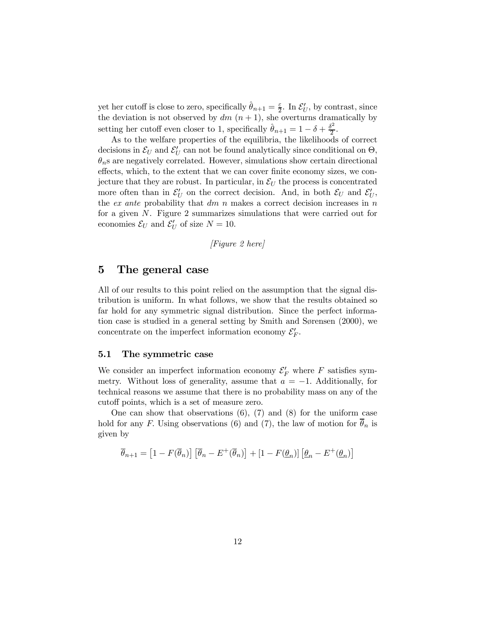yet her cutoff is close to zero, specifically  $\hat{\theta}_{n+1} = \frac{\varepsilon}{2}$ . In  $\mathcal{E}'_U$ , by contrast, since the deviation is not observed by  $dm$   $(n + 1)$ , she overturns dramatically by setting her cutoff even closer to 1, specifically  $\hat{\theta}_{n+1} = 1 - \delta + \frac{\delta^2}{2}$ .

As to the welfare properties of the equilibria, the likelihoods of correct decisions in  $\mathcal{E}_U$  and  $\mathcal{E}'_U$  can not be found analytically since conditional on  $\Theta$ ,  $\theta_n$ s are negatively correlated. However, simulations show certain directional effects, which, to the extent that we can cover finite economy sizes, we conjecture that they are robust. In particular, in  $\mathcal{E}_U$  the process is concentrated more often than in  $\mathcal{E}'_U$  on the correct decision. And, in both  $\mathcal{E}_U$  and  $\mathcal{E}'_U$ , the *ex ante* probability that  $dm$  n makes a correct decision increases in  $n$ for a given N. Figure 2 summarizes simulations that were carried out for economies  $\mathcal{E}_U$  and  $\mathcal{E}'_U$  of size  $N = 10$ .

[Figure 2 here]

## 5 The general case

All of our results to this point relied on the assumption that the signal distribution is uniform. In what follows, we show that the results obtained so far hold for any symmetric signal distribution. Since the perfect information case is studied in a general setting by Smith and Sørensen (2000), we concentrate on the imperfect information economy  $\mathcal{E}'_F$ .

#### 5.1 The symmetric case

We consider an imperfect information economy  $\mathcal{E}'_F$  where F satisfies symmetry. Without loss of generality, assume that  $a = -1$ . Additionally, for technical reasons we assume that there is no probability mass on any of the cutoff points, which is a set of measure zero.

One can show that observations  $(6)$ ,  $(7)$  and  $(8)$  for the uniform case hold for any F. Using observations (6) and (7), the law of motion for  $\overline{\theta}_n$  is given by

$$
\overline{\theta}_{n+1} = \left[1 - F(\overline{\theta}_n)\right] \left[\overline{\theta}_n - E^+(\overline{\theta}_n)\right] + \left[1 - F(\underline{\theta}_n)\right] \left[\underline{\theta}_n - E^+(\underline{\theta}_n)\right]
$$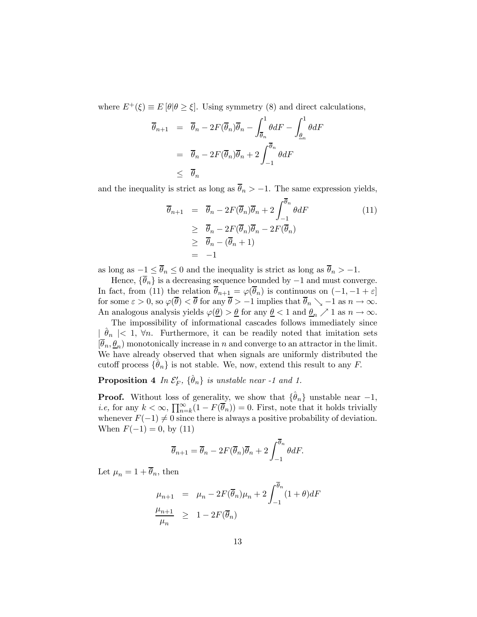where  $E^+(\xi) \equiv E[\theta | \theta \geq \xi]$ . Using symmetry (8) and direct calculations,

$$
\overline{\theta}_{n+1} = \overline{\theta}_n - 2F(\overline{\theta}_n)\overline{\theta}_n - \int_{\overline{\theta}_n}^1 \theta dF - \int_{\underline{\theta}_n}^1 \theta dF
$$

$$
= \overline{\theta}_n - 2F(\overline{\theta}_n)\overline{\theta}_n + 2\int_{-1}^{\overline{\theta}_n} \theta dF
$$

$$
\leq \overline{\theta}_n
$$

and the inequality is strict as long as  $\bar{\theta}_n > -1$ . The same expression yields,

$$
\overline{\theta}_{n+1} = \overline{\theta}_n - 2F(\overline{\theta}_n)\overline{\theta}_n + 2\int_{-1}^{\overline{\theta}_n} \theta dF
$$
\n
$$
\geq \overline{\theta}_n - 2F(\overline{\theta}_n)\overline{\theta}_n - 2F(\overline{\theta}_n)
$$
\n
$$
\geq \overline{\theta}_n - (\overline{\theta}_n + 1)
$$
\n
$$
= -1
$$
\n(11)

as long as  $-1 \le \overline{\theta}_n \le 0$  and the inequality is strict as long as  $\overline{\theta}_n > -1$ .

Hence,  $\{\overline{\theta}_n\}$  is a decreasing sequence bounded by  $-1$  and must converge. In fact, from (11) the relation  $\theta_{n+\frac{1}{2}} = \varphi(\theta_n)$  is continuous on  $(-1, -1 + \varepsilon]$ for some  $\varepsilon > 0$ , so  $\varphi(\theta) < \theta$  for any  $\theta > -1$  implies that  $\theta_n \searrow -1$  as  $n \to \infty$ . An analogous analysis yields  $\varphi(\underline{\theta}) > \underline{\theta}$  for any  $\underline{\theta} < 1$  and  $\underline{\theta}_n \nearrow 1$  as  $n \to \infty$ .

The impossibility of informational cascades follows immediately since  $\mid \theta_n \mid$  < 1,  $\forall n$ . Furthermore, it can be readily noted that imitation sets  $[\overline{\theta}_n, \underline{\theta}_n]$  monotonically increase in n and converge to an attractor in the limit. We have already observed that when signals are uniformly distributed the cutoff process  $\{\hat{\theta}_n\}$  is not stable. We, now, extend this result to any F.

**Proposition 4** In  $\mathcal{E}'_F$ ,  $\{\hat{\theta}_n\}$  is unstable near -1 and 1.

**Proof.** Without loss of generality, we show that  $\{\hat{\theta}_n\}$  unstable near  $-1$ , *i.e,* for any  $k < \infty$ ,  $\prod_{n=k}^{\infty} (1 - F(\overline{\theta}_n)) = 0$ . First, note that it holds trivially whenever  $F(-1) \neq 0$  since there is always a positive probability of deviation. When  $F(-1) = 0$ , by (11)

$$
\overline{\theta}_{n+1} = \overline{\theta}_n - 2F(\overline{\theta}_n)\overline{\theta}_n + 2\int_{-1}^{\overline{\theta}_n} \theta dF.
$$

Let  $\mu_n = 1 + \overline{\theta}_n$ , then

$$
\mu_{n+1} = \mu_n - 2F(\overline{\theta}_n)\mu_n + 2\int_{-1}^{\overline{\theta}_n} (1+\theta)dF
$$
  

$$
\frac{\mu_{n+1}}{\mu_n} \ge 1 - 2F(\overline{\theta}_n)
$$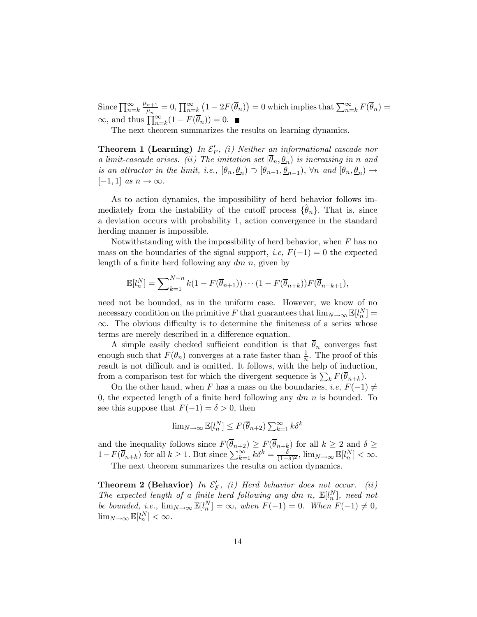Since  $\prod_{n=k}^{\infty} \frac{\mu_{n+1}}{\mu_n} = 0$ ,  $\prod_{n=k}^{\infty} (1 - 2F(\overline{\theta}_n)) = 0$  which implies that  $\sum_{n=k}^{\infty} F(\overline{\theta}_n) =$  $\infty$ , and thus  $\prod_{n=k}^{\infty} (1 - F(\overline{\theta}_n)) = 0.$ 

The next theorem summarizes the results on learning dynamics.

**Theorem 1 (Learning)** In  $\mathcal{E}'_F$ , (i) Neither an informational cascade nor a limit-cascade arises. (ii) The imitation set  $[\overline{\theta}_n, \underline{\theta}_n)$  is increasing in n and is an attractor in the limit, i.e.,  $[\overline{\theta}_n, \underline{\theta}_n) \supset [\overline{\theta}_{n-1}, \underline{\theta}_{n-1}), \forall n$  and  $[\overline{\theta}_n, \underline{\theta}_n) \rightarrow$  $[-1, 1]$  as  $n \to \infty$ .

As to action dynamics, the impossibility of herd behavior follows immediately from the instability of the cutoff process  $\{\hat{\theta}_n\}$ . That is, since a deviation occurs with probability 1, action convergence in the standard herding manner is impossible.

Notwithstanding with the impossibility of herd behavior, when  $F$  has no mass on the boundaries of the signal support, *i.e.*  $F(-1) = 0$  the expected length of a finite herd following any  $dm$  n, given by

$$
\mathbb{E}[l_n^N] = \sum\nolimits_{k=1}^{N-n} k(1 - F(\overline{\theta}_{n+1})) \cdots (1 - F(\overline{\theta}_{n+k})) F(\overline{\theta}_{n+k+1}),
$$

need not be bounded, as in the uniform case. However, we know of no necessary condition on the primitive F that guarantees that  $\lim_{N\to\infty} \mathbb{E}[l_n^N] =$ ∞. The obvious difficulty is to determine the finiteness of a series whose terms are merely described in a difference equation.

A simple easily checked sufficient condition is that  $\overline{\theta}_n$  converges fast enough such that  $F(\overline{\theta}_n)$  converges at a rate faster than  $\frac{1}{n}$ . The proof of this result is not difficult and is omitted. It follows, with the help of induction, from a comparison test for which the divergent sequence is  $\sum_{k} F(\overline{\theta}_{n+k}).$ 

On the other hand, when F has a mass on the boundaries, i.e,  $F(-1) \neq$ 0, the expected length of a finite herd following any  $dm$  n is bounded. To see this suppose that  $F(-1) = \delta > 0$ , then

$$
\lim_{N \to \infty} \mathbb{E}[l_n^N] \le F(\overline{\theta}_{n+2}) \sum_{k=1}^{\infty} k \delta^k
$$

and the inequality follows since  $F(\theta_{n+2}) \geq F(\theta_{n+k})$  for all  $k \geq 2$  and  $\delta \geq$  $1-F(\overline{\theta}_{n+k})$  for all  $k \geq 1$ . But since  $\sum_{k=1}^{\infty} k \delta^k = \frac{\delta}{(1-\delta)^2}$ ,  $\lim_{N \to \infty} \mathbb{E}[l_n^N] < \infty$ .

The next theorem summarizes the results on action dynamics.

**Theorem 2 (Behavior)** In  $\mathcal{E}'_F$ , (i) Herd behavior does not occur. (ii) The expected length of a finite herd following any dm n,  $\mathbb{E}[l_n^N]$ , need not be bounded, i.e.,  $\lim_{N\to\infty} \mathbb{E}[l_n^N] = \infty$ , when  $F(-1) = 0$ . When  $F(-1) \neq 0$ ,  $\lim_{N\to\infty} \mathbb{E}[l_n^N] < \infty.$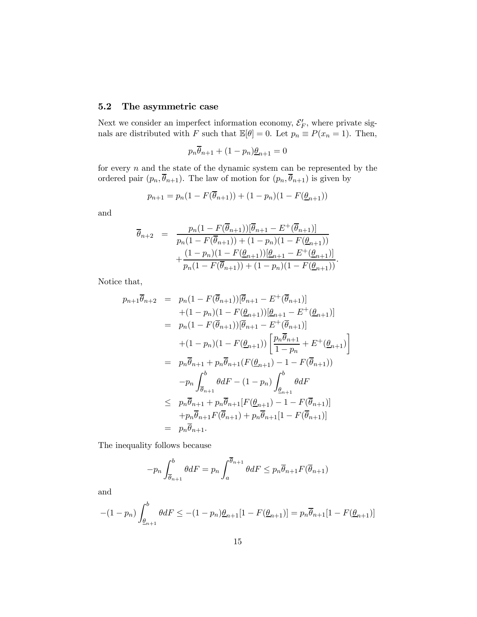## 5.2 The asymmetric case

Next we consider an imperfect information economy,  $\mathcal{E}'_F$ , where private signals are distributed with F such that  $\mathbb{E}[\theta]=0$ . Let  $p_n \equiv P(x_n = 1)$ . Then,

$$
p_n \overline{\theta}_{n+1} + (1 - p_n) \underline{\theta}_{n+1} = 0
$$

for every  $n$  and the state of the dynamic system can be represented by the ordered pair  $(p_n, \overline{\theta}_{n+1})$ . The law of motion for  $(p_n, \overline{\theta}_{n+1})$  is given by

$$
p_{n+1} = p_n(1 - F(\overline{\theta}_{n+1})) + (1 - p_n)(1 - F(\underline{\theta}_{n+1}))
$$

and

$$
\overline{\theta}_{n+2} = \frac{p_n(1 - F(\overline{\theta}_{n+1}))[\overline{\theta}_{n+1} - E^+(\overline{\theta}_{n+1})]}{p_n(1 - F(\overline{\theta}_{n+1})) + (1 - p_n)(1 - F(\underline{\theta}_{n+1}))} + \frac{(1 - p_n)(1 - F(\underline{\theta}_{n+1}))[\underline{\theta}_{n+1} - E^+(\underline{\theta}_{n+1})]}{p_n(1 - F(\overline{\theta}_{n+1})) + (1 - p_n)(1 - F(\underline{\theta}_{n+1}))}.
$$

Notice that,

$$
p_{n+1}\overline{\theta}_{n+2} = p_n(1 - F(\overline{\theta}_{n+1}))[\overline{\theta}_{n+1} - E^+(\overline{\theta}_{n+1})]
$$
  
+ (1 - p\_n)(1 - F(\underline{\theta}\_{n+1}))[\underline{\theta}\_{n+1} - E^+(\underline{\theta}\_{n+1})]  
= p\_n(1 - F(\overline{\theta}\_{n+1}))[\overline{\theta}\_{n+1} - E^+(\overline{\theta}\_{n+1})]  
+ (1 - p\_n)(1 - F(\underline{\theta}\_{n+1}))\left[\frac{p\_n\overline{\theta}\_{n+1}}{1 - p\_n} + E^+(\underline{\theta}\_{n+1})\right]  
= p\_n\overline{\theta}\_{n+1} + p\_n\overline{\theta}\_{n+1}(F(\underline{\theta}\_{n+1}) - 1 - F(\overline{\theta}\_{n+1}))  
- p\_n\int\_{\overline{\theta}\_{n+1}}^b \theta dF - (1 - p\_n)\int\_{\underline{\theta}\_{n+1}}^b \theta dF  
\le p\_n\overline{\theta}\_{n+1} + p\_n\overline{\theta}\_{n+1}[F(\underline{\theta}\_{n+1}) - 1 - F(\overline{\theta}\_{n+1})]  
+ p\_n\overline{\theta}\_{n+1}F(\overline{\theta}\_{n+1}) + p\_n\overline{\theta}\_{n+1}[1 - F(\overline{\theta}\_{n+1})]  
= p\_n\overline{\theta}\_{n+1}.

The inequality follows because

$$
-p_n \int_{\overline{\theta}_{n+1}}^b \theta dF = p_n \int_a^{\overline{\theta}_{n+1}} \theta dF \le p_n \overline{\theta}_{n+1} F(\overline{\theta}_{n+1})
$$

and

$$
-(1-p_n)\int_{\underline{\theta}_{n+1}}^{b} \theta dF \le -(1-p_n)\underline{\theta}_{n+1}[1 - F(\underline{\theta}_{n+1})] = p_n \overline{\theta}_{n+1}[1 - F(\underline{\theta}_{n+1})]
$$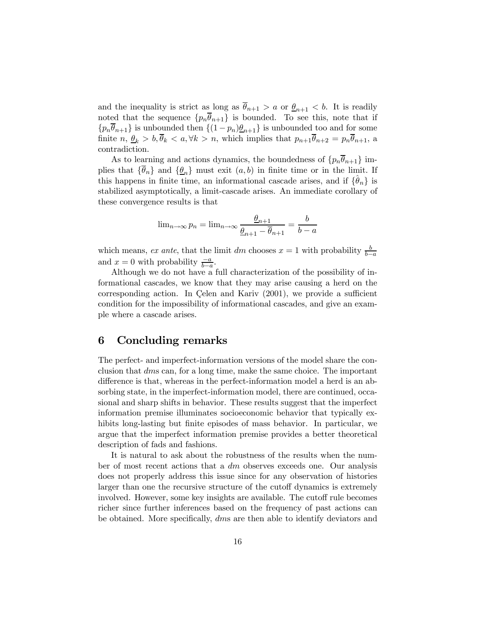and the inequality is strict as long as  $\bar{\theta}_{n+1} > a$  or  $\underline{\theta}_{n+1} < b$ . It is readily noted that the sequence  $\{p_n\overline{\theta}_{n+1}\}\$ is bounded. To see this, note that if  $\{p_n\overline{\theta}_{n+1}\}\$ is unbounded then  $\{(1-p_n)\underline{\theta}_{n+1}\}\$ is unbounded too and for some finite  $n, \underline{\theta}_k > b, \overline{\theta}_k < a, \forall k > n$ , which implies that  $p_{n+1}\overline{\theta}_{n+2} = p_n\overline{\theta}_{n+1}$ , a contradiction.

As to learning and actions dynamics, the boundedness of  $\{p_n\overline{\theta}_{n+1}\}\$  implies that  $\{\theta_n\}$  and  $\{\underline{\theta}_n\}$  must exit  $(a, b)$  in finite time or in the limit. If this happens in finite time, an informational cascade arises, and if  $\{\theta_n\}$  is stabilized asymptotically, a limit-cascade arises. An immediate corollary of these convergence results is that

$$
\lim_{n \to \infty} p_n = \lim_{n \to \infty} \frac{\underline{\theta}_{n+1}}{\underline{\theta}_{n+1} - \overline{\theta}_{n+1}} = \frac{b}{b - a}
$$

which means, ex ante, that the limit dm chooses  $x = 1$  with probability  $\frac{b}{b-a}$ and  $x = 0$  with probability  $\frac{-a}{b-a}$ .

Although we do not have a full characterization of the possibility of informational cascades, we know that they may arise causing a herd on the corresponding action. In Çelen and Kariv (2001), we provide a sufficient condition for the impossibility of informational cascades, and give an example where a cascade arises.

## 6 Concluding remarks

The perfect- and imperfect-information versions of the model share the conclusion that dms can, for a long time, make the same choice. The important difference is that, whereas in the perfect-information model a herd is an absorbing state, in the imperfect-information model, there are continued, occasional and sharp shifts in behavior. These results suggest that the imperfect information premise illuminates socioeconomic behavior that typically exhibits long-lasting but finite episodes of mass behavior. In particular, we argue that the imperfect information premise provides a better theoretical description of fads and fashions.

It is natural to ask about the robustness of the results when the number of most recent actions that a dm observes exceeds one. Our analysis does not properly address this issue since for any observation of histories larger than one the recursive structure of the cutoff dynamics is extremely involved. However, some key insights are available. The cutoff rule becomes richer since further inferences based on the frequency of past actions can be obtained. More specifically, dms are then able to identify deviators and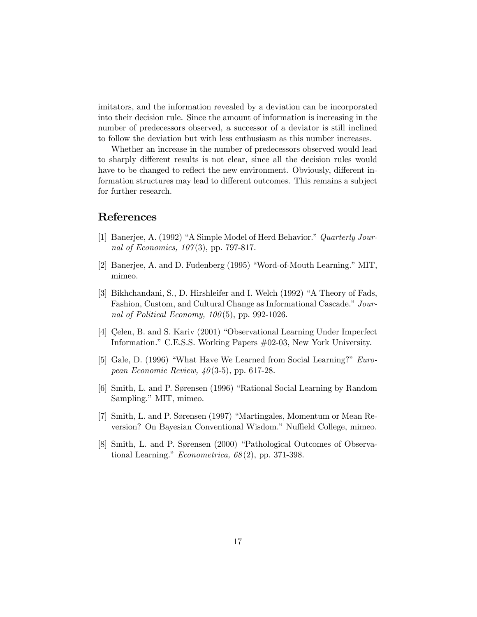imitators, and the information revealed by a deviation can be incorporated into their decision rule. Since the amount of information is increasing in the number of predecessors observed, a successor of a deviator is still inclined to follow the deviation but with less enthusiasm as this number increases.

Whether an increase in the number of predecessors observed would lead to sharply different results is not clear, since all the decision rules would have to be changed to reflect the new environment. Obviously, different information structures may lead to different outcomes. This remains a subject for further research.

# References

- [1] Banerjee, A. (1992) "A Simple Model of Herd Behavior." Quarterly Journal of Economics,  $107(3)$ , pp. 797-817.
- [2] Banerjee, A. and D. Fudenberg (1995) "Word-of-Mouth Learning." MIT, mimeo.
- [3] Bikhchandani, S., D. Hirshleifer and I. Welch (1992) "A Theory of Fads, Fashion, Custom, and Cultural Change as Informational Cascade." Journal of Political Economy,  $100(5)$ , pp. 992-1026.
- [4] Çelen, B. and S. Kariv (2001) "Observational Learning Under Imperfect Information." C.E.S.S. Working Papers #02-03, New York University.
- [5] Gale, D. (1996) "What Have We Learned from Social Learning?" European Economic Review,  $40(3-5)$ , pp. 617-28.
- [6] Smith, L. and P. Sørensen (1996) "Rational Social Learning by Random Sampling." MIT, mimeo.
- [7] Smith, L. and P. Sørensen (1997) "Martingales, Momentum or Mean Reversion? On Bayesian Conventional Wisdom." Nuffield College, mimeo.
- [8] Smith, L. and P. Sørensen (2000) "Pathological Outcomes of Observational Learning." Econometrica,  $68(2)$ , pp. 371-398.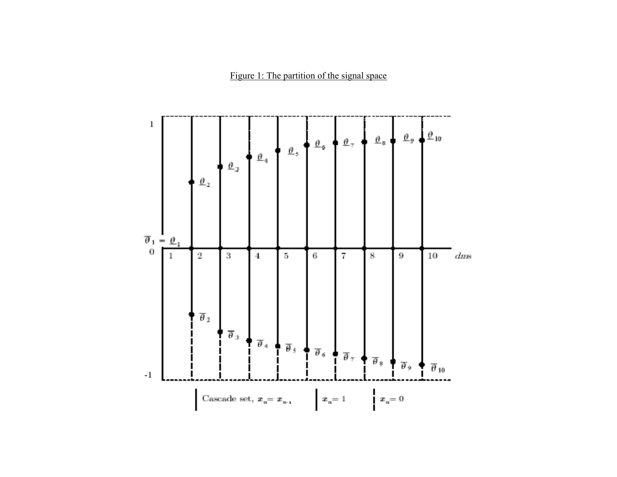